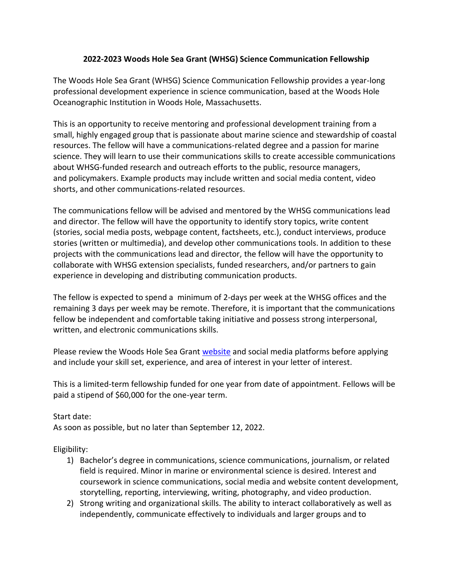## **2022-2023 Woods Hole Sea Grant (WHSG) Science Communication Fellowship**

The Woods Hole Sea Grant (WHSG) Science Communication Fellowship provides a year-long professional development experience in science communication, based at the Woods Hole Oceanographic Institution in Woods Hole, Massachusetts.

This is an opportunity to receive mentoring and professional development training from a small, highly engaged group that is passionate about marine science and stewardship of coastal resources. The fellow will have a communications-related degree and a passion for marine science. They will learn to use their communications skills to create accessible communications about WHSG-funded research and outreach efforts to the public, resource managers, and policymakers. Example products may include written and social media content, video shorts, and other communications-related resources.

The communications fellow will be advised and mentored by the WHSG communications lead and director. The fellow will have the opportunity to identify story topics, write content (stories, social media posts, webpage content, factsheets, etc.), conduct interviews, produce stories (written or multimedia), and develop other communications tools. In addition to these projects with the communications lead and director, the fellow will have the opportunity to collaborate with WHSG extension specialists, funded researchers, and/or partners to gain experience in developing and distributing communication products.

The fellow is expected to spend a minimum of 2-days per week at the WHSG offices and the remaining 3 days per week may be remote. Therefore, it is important that the communications fellow be independent and comfortable taking initiative and possess strong interpersonal, written, and electronic communications skills.

Please review the Woods Hole Sea Grant [website](http://seagrant.whoi.edu/) and social media platforms before applying and include your skill set, experience, and area of interest in your letter of interest.

This is a limited-term fellowship funded for one year from date of appointment. Fellows will be paid a stipend of \$60,000 for the one-year term.

## Start date:

As soon as possible, but no later than September 12, 2022.

Eligibility:

- 1) Bachelor's degree in communications, science communications, journalism, or related field is required. Minor in marine or environmental science is desired. Interest and coursework in science communications, social media and website content development, storytelling, reporting, interviewing, writing, photography, and video production.
- 2) Strong writing and organizational skills. The ability to interact collaboratively as well as independently, communicate effectively to individuals and larger groups and to